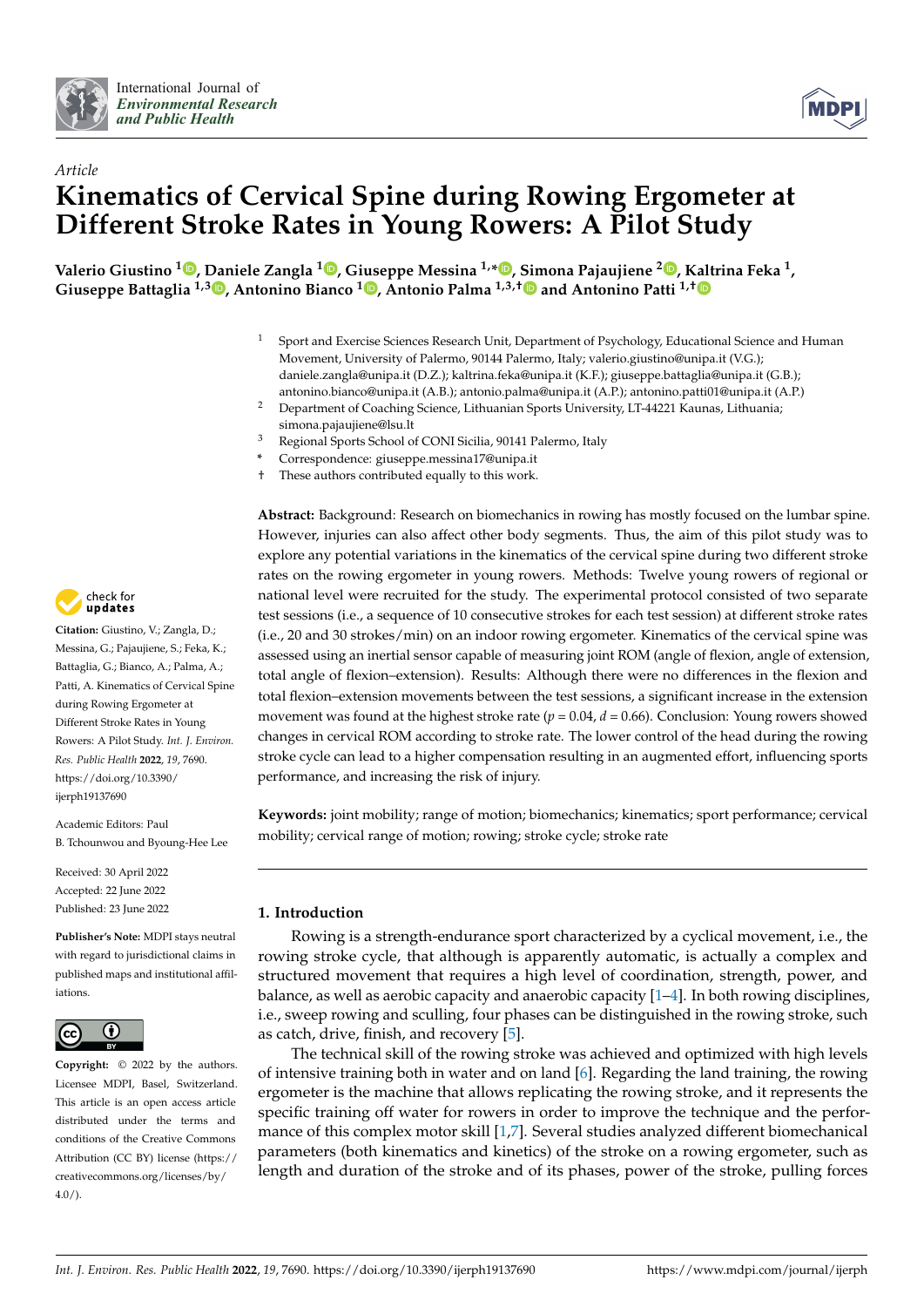



# *Article* **Kinematics of Cervical Spine during Rowing Ergometer at Different Stroke Rates in Young Rowers: A Pilot Study**

**Valerio Giustino <sup>1</sup> [,](https://orcid.org/0000-0002-4575-8021) Daniele Zangla <sup>1</sup> [,](https://orcid.org/0000-0003-1643-6960) Giuseppe Messina 1,[\\*](https://orcid.org/0000-0003-2774-4950) , [Sim](https://orcid.org/0000-0002-5387-468X)ona Pajaujiene [2](https://orcid.org/0000-0001-5306-4188) , Kaltrina Feka <sup>1</sup> , Giuseppe Battaglia 1,[3](https://orcid.org/0000-0002-7758-7175) , Antonino Bianco [1](https://orcid.org/0000-0001-8334-6581) , Antonio Palma 1,3,† and Antonino Patti 1,[†](https://orcid.org/0000-0003-3753-5191)**

- <sup>1</sup> Sport and Exercise Sciences Research Unit, Department of Psychology, Educational Science and Human Movement, University of Palermo, 90144 Palermo, Italy; valerio.giustino@unipa.it (V.G.); daniele.zangla@unipa.it (D.Z.); kaltrina.feka@unipa.it (K.F.); giuseppe.battaglia@unipa.it (G.B.); antonino.bianco@unipa.it (A.B.); antonio.palma@unipa.it (A.P.); antonino.patti01@unipa.it (A.P.)
- <sup>2</sup> Department of Coaching Science, Lithuanian Sports University, LT-44221 Kaunas, Lithuania; simona.pajaujiene@lsu.lt
- <sup>3</sup> Regional Sports School of CONI Sicilia, 90141 Palermo, Italy
- **\*** Correspondence: giuseppe.messina17@unipa.it
- † These authors contributed equally to this work.

**Abstract:** Background: Research on biomechanics in rowing has mostly focused on the lumbar spine. However, injuries can also affect other body segments. Thus, the aim of this pilot study was to explore any potential variations in the kinematics of the cervical spine during two different stroke rates on the rowing ergometer in young rowers. Methods: Twelve young rowers of regional or national level were recruited for the study. The experimental protocol consisted of two separate test sessions (i.e., a sequence of 10 consecutive strokes for each test session) at different stroke rates (i.e., 20 and 30 strokes/min) on an indoor rowing ergometer. Kinematics of the cervical spine was assessed using an inertial sensor capable of measuring joint ROM (angle of flexion, angle of extension, total angle of flexion–extension). Results: Although there were no differences in the flexion and total flexion–extension movements between the test sessions, a significant increase in the extension movement was found at the highest stroke rate (*p* = 0.04, *d* = 0.66). Conclusion: Young rowers showed changes in cervical ROM according to stroke rate. The lower control of the head during the rowing stroke cycle can lead to a higher compensation resulting in an augmented effort, influencing sports performance, and increasing the risk of injury.

**Keywords:** joint mobility; range of motion; biomechanics; kinematics; sport performance; cervical mobility; cervical range of motion; rowing; stroke cycle; stroke rate

# **1. Introduction**

Rowing is a strength-endurance sport characterized by a cyclical movement, i.e., the rowing stroke cycle, that although is apparently automatic, is actually a complex and structured movement that requires a high level of coordination, strength, power, and balance, as well as aerobic capacity and anaerobic capacity  $[1-4]$  $[1-4]$ . In both rowing disciplines, i.e., sweep rowing and sculling, four phases can be distinguished in the rowing stroke, such as catch, drive, finish, and recovery [\[5\]](#page-6-2).

The technical skill of the rowing stroke was achieved and optimized with high levels of intensive training both in water and on land [\[6\]](#page-6-3). Regarding the land training, the rowing ergometer is the machine that allows replicating the rowing stroke, and it represents the specific training off water for rowers in order to improve the technique and the performance of this complex motor skill [\[1](#page-6-0)[,7\]](#page-6-4). Several studies analyzed different biomechanical parameters (both kinematics and kinetics) of the stroke on a rowing ergometer, such as length and duration of the stroke and of its phases, power of the stroke, pulling forces



**Citation:** Giustino, V.; Zangla, D.; Messina, G.; Pajaujiene, S.; Feka, K.; Battaglia, G.; Bianco, A.; Palma, A.; Patti, A. Kinematics of Cervical Spine during Rowing Ergometer at Different Stroke Rates in Young Rowers: A Pilot Study. *Int. J. Environ. Res. Public Health* **2022**, *19*, 7690. [https://doi.org/10.3390/](https://doi.org/10.3390/ijerph19137690) [ijerph19137690](https://doi.org/10.3390/ijerph19137690)

Academic Editors: Paul B. Tchounwou and Byoung-Hee Lee

Received: 30 April 2022 Accepted: 22 June 2022 Published: 23 June 2022

**Publisher's Note:** MDPI stays neutral with regard to jurisdictional claims in published maps and institutional affiliations.



**Copyright:** © 2022 by the authors. Licensee MDPI, Basel, Switzerland. This article is an open access article distributed under the terms and conditions of the Creative Commons Attribution (CC BY) license [\(https://](https://creativecommons.org/licenses/by/4.0/) [creativecommons.org/licenses/by/](https://creativecommons.org/licenses/by/4.0/)  $4.0/$ ).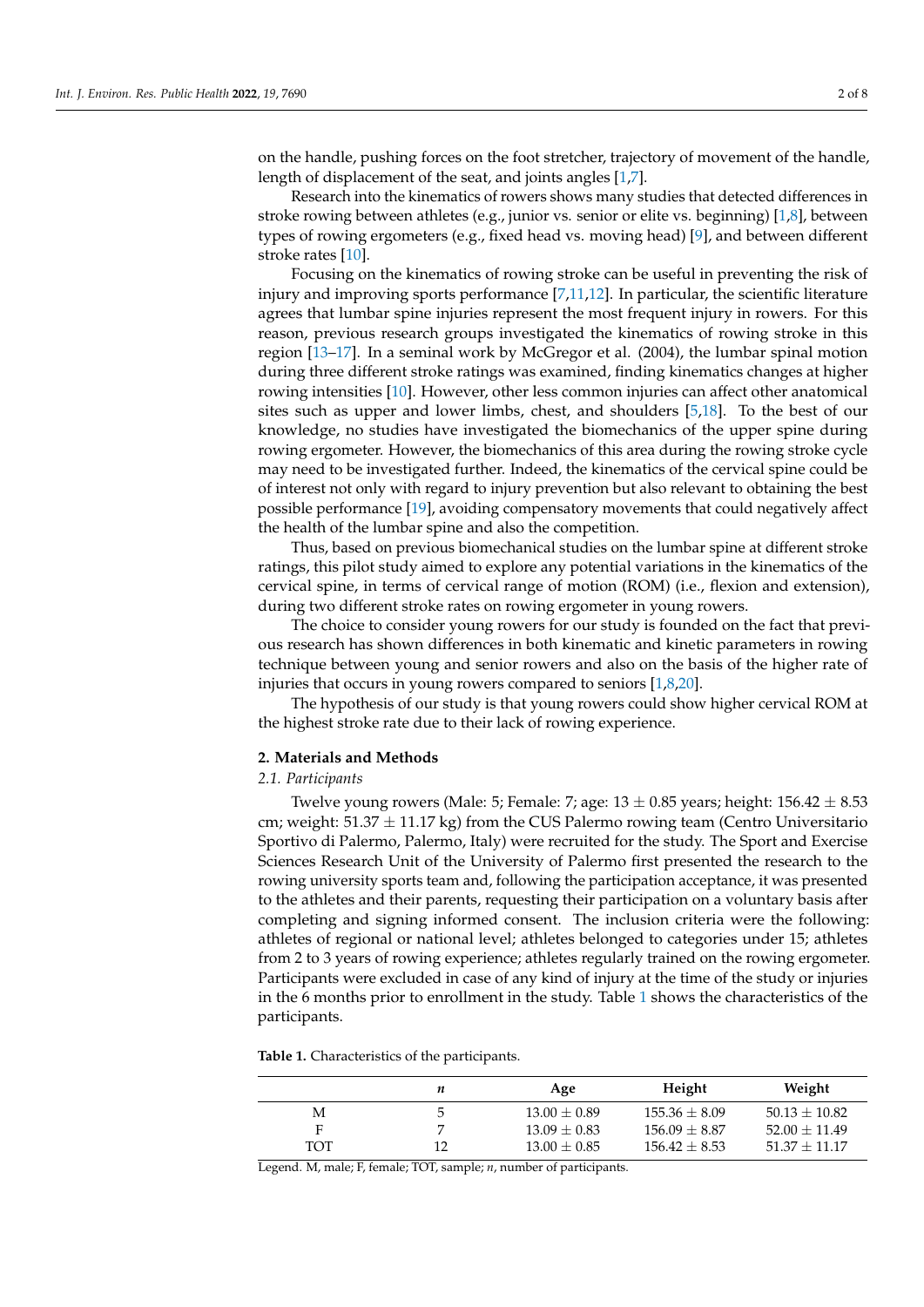on the handle, pushing forces on the foot stretcher, trajectory of movement of the handle, length of displacement of the seat, and joints angles [\[1,](#page-6-0)[7\]](#page-6-4).

Research into the kinematics of rowers shows many studies that detected differences in stroke rowing between athletes (e.g., junior vs. senior or elite vs. beginning) [\[1](#page-6-0)[,8\]](#page-6-5), between types of rowing ergometers (e.g., fixed head vs. moving head) [\[9\]](#page-6-6), and between different stroke rates [\[10\]](#page-6-7).

Focusing on the kinematics of rowing stroke can be useful in preventing the risk of injury and improving sports performance [\[7](#page-6-4)[,11](#page-6-8)[,12\]](#page-6-9). In particular, the scientific literature agrees that lumbar spine injuries represent the most frequent injury in rowers. For this reason, previous research groups investigated the kinematics of rowing stroke in this region [\[13–](#page-6-10)[17\]](#page-6-11). In a seminal work by McGregor et al. (2004), the lumbar spinal motion during three different stroke ratings was examined, finding kinematics changes at higher rowing intensities [\[10\]](#page-6-7). However, other less common injuries can affect other anatomical sites such as upper and lower limbs, chest, and shoulders [\[5](#page-6-2)[,18\]](#page-6-12). To the best of our knowledge, no studies have investigated the biomechanics of the upper spine during rowing ergometer. However, the biomechanics of this area during the rowing stroke cycle may need to be investigated further. Indeed, the kinematics of the cervical spine could be of interest not only with regard to injury prevention but also relevant to obtaining the best possible performance [\[19\]](#page-6-13), avoiding compensatory movements that could negatively affect the health of the lumbar spine and also the competition.

Thus, based on previous biomechanical studies on the lumbar spine at different stroke ratings, this pilot study aimed to explore any potential variations in the kinematics of the cervical spine, in terms of cervical range of motion (ROM) (i.e., flexion and extension), during two different stroke rates on rowing ergometer in young rowers.

The choice to consider young rowers for our study is founded on the fact that previous research has shown differences in both kinematic and kinetic parameters in rowing technique between young and senior rowers and also on the basis of the higher rate of injuries that occurs in young rowers compared to seniors [\[1](#page-6-0)[,8](#page-6-5)[,20\]](#page-6-14).

The hypothesis of our study is that young rowers could show higher cervical ROM at the highest stroke rate due to their lack of rowing experience.

#### **2. Materials and Methods**

#### *2.1. Participants*

Twelve young rowers (Male: 5; Female: 7; age:  $13 \pm 0.85$  years; height:  $156.42 \pm 8.53$ cm; weight:  $51.37 \pm 11.17$  kg) from the CUS Palermo rowing team (Centro Universitario Sportivo di Palermo, Palermo, Italy) were recruited for the study. The Sport and Exercise Sciences Research Unit of the University of Palermo first presented the research to the rowing university sports team and, following the participation acceptance, it was presented to the athletes and their parents, requesting their participation on a voluntary basis after completing and signing informed consent. The inclusion criteria were the following: athletes of regional or national level; athletes belonged to categories under 15; athletes from 2 to 3 years of rowing experience; athletes regularly trained on the rowing ergometer. Participants were excluded in case of any kind of injury at the time of the study or injuries in the 6 months prior to enrollment in the study. Table [1](#page-1-0) shows the characteristics of the participants.

<span id="page-1-0"></span>**Table 1.** Characteristics of the participants.

|     | п | Age            | Height          | Weight          |
|-----|---|----------------|-----------------|-----------------|
| М   |   | $13.00 + 0.89$ | $155.36 + 8.09$ | $50.13 + 10.82$ |
| Е   |   | $13.09 + 0.83$ | $156.09 + 8.87$ | $52.00 + 11.49$ |
| ТОТ |   | $13.00 + 0.85$ | $156.42 + 8.53$ | $51.37 + 11.17$ |

Legend. M, male; F, female; TOT, sample; *n*, number of participants.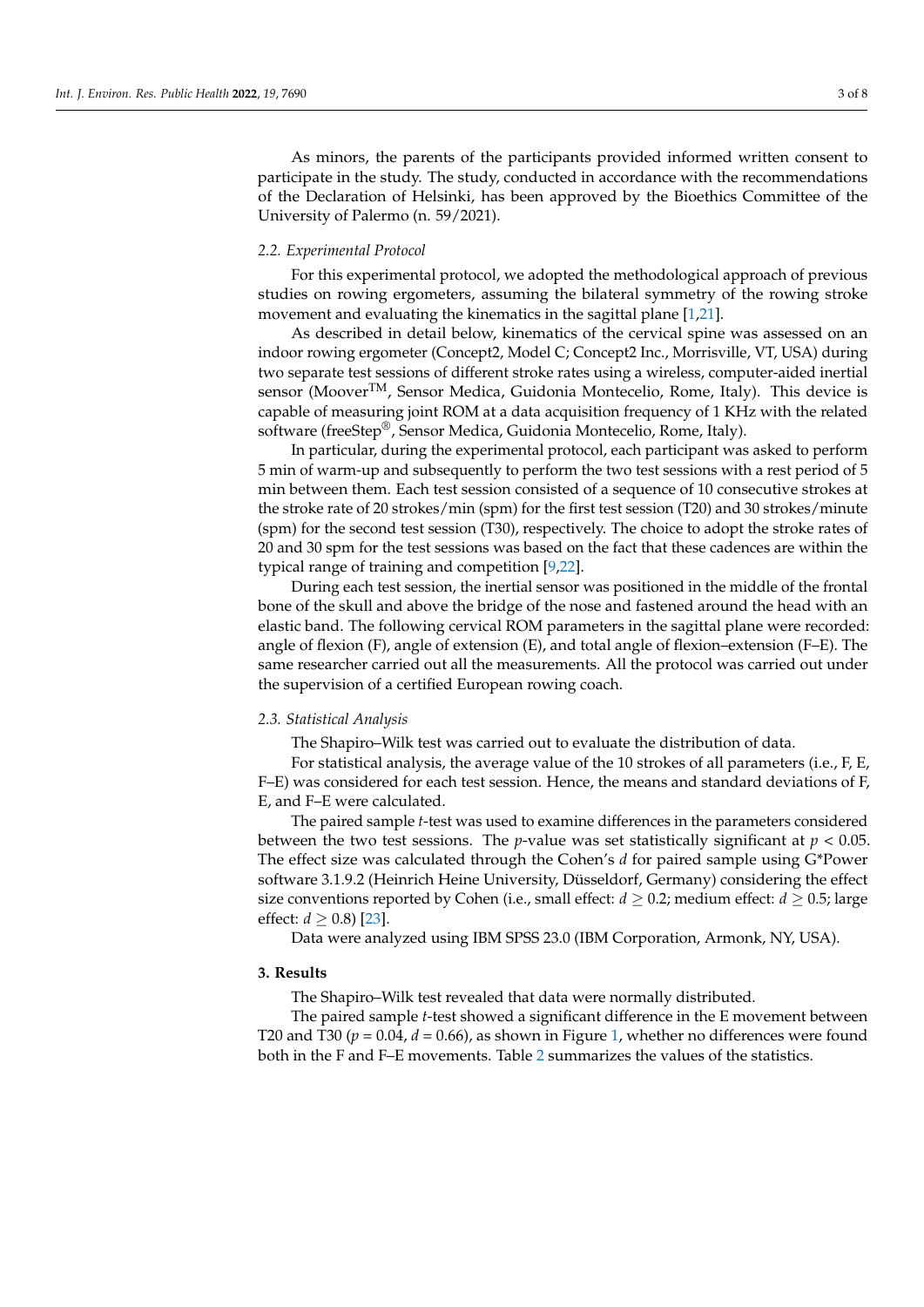As minors, the parents of the participants provided informed written consent to participate in the study. The study, conducted in accordance with the recommendations of the Declaration of Helsinki, has been approved by the Bioethics Committee of the University of Palermo (n. 59/2021).

#### *2.2. Experimental Protocol*

For this experimental protocol, we adopted the methodological approach of previous studies on rowing ergometers, assuming the bilateral symmetry of the rowing stroke movement and evaluating the kinematics in the sagittal plane [\[1](#page-6-0)[,21\]](#page-6-15).

As described in detail below, kinematics of the cervical spine was assessed on an indoor rowing ergometer (Concept2, Model C; Concept2 Inc., Morrisville, VT, USA) during two separate test sessions of different stroke rates using a wireless, computer-aided inertial sensor (MooverTM, Sensor Medica, Guidonia Montecelio, Rome, Italy). This device is capable of measuring joint ROM at a data acquisition frequency of 1 KHz with the related software (freeStep®, Sensor Medica, Guidonia Montecelio, Rome, Italy).

In particular, during the experimental protocol, each participant was asked to perform 5 min of warm-up and subsequently to perform the two test sessions with a rest period of 5 min between them. Each test session consisted of a sequence of 10 consecutive strokes at the stroke rate of 20 strokes/min (spm) for the first test session (T20) and 30 strokes/minute (spm) for the second test session (T30), respectively. The choice to adopt the stroke rates of 20 and 30 spm for the test sessions was based on the fact that these cadences are within the typical range of training and competition [\[9](#page-6-6)[,22\]](#page-6-16).

During each test session, the inertial sensor was positioned in the middle of the frontal bone of the skull and above the bridge of the nose and fastened around the head with an elastic band. The following cervical ROM parameters in the sagittal plane were recorded: angle of flexion (F), angle of extension (E), and total angle of flexion–extension (F–E). The same researcher carried out all the measurements. All the protocol was carried out under the supervision of a certified European rowing coach.

### *2.3. Statistical Analysis*

The Shapiro–Wilk test was carried out to evaluate the distribution of data.

For statistical analysis, the average value of the 10 strokes of all parameters (i.e., F, E, F–E) was considered for each test session. Hence, the means and standard deviations of F, E, and F–E were calculated.

The paired sample *t*-test was used to examine differences in the parameters considered between the two test sessions. The *p*-value was set statistically significant at  $p < 0.05$ . The effect size was calculated through the Cohen's *d* for paired sample using G\*Power software 3.1.9.2 (Heinrich Heine University, Düsseldorf, Germany) considering the effect size conventions reported by Cohen (i.e., small effect:  $d \geq 0.2$ ; medium effect:  $d \geq 0.5$ ; large effect:  $d > 0.8$  [\[23\]](#page-6-17).

Data were analyzed using IBM SPSS 23.0 (IBM Corporation, Armonk, NY, USA).

#### **3. Results**

The Shapiro–Wilk test revealed that data were normally distributed.

The paired sample *t*-test showed a significant difference in the E movement between T20 and T30 (*p* = 0.04, *d* = 0.66), as shown in Figure [1,](#page-3-0) whether no differences were found both in the F and F–E movements. Table [2](#page-3-1) summarizes the values of the statistics.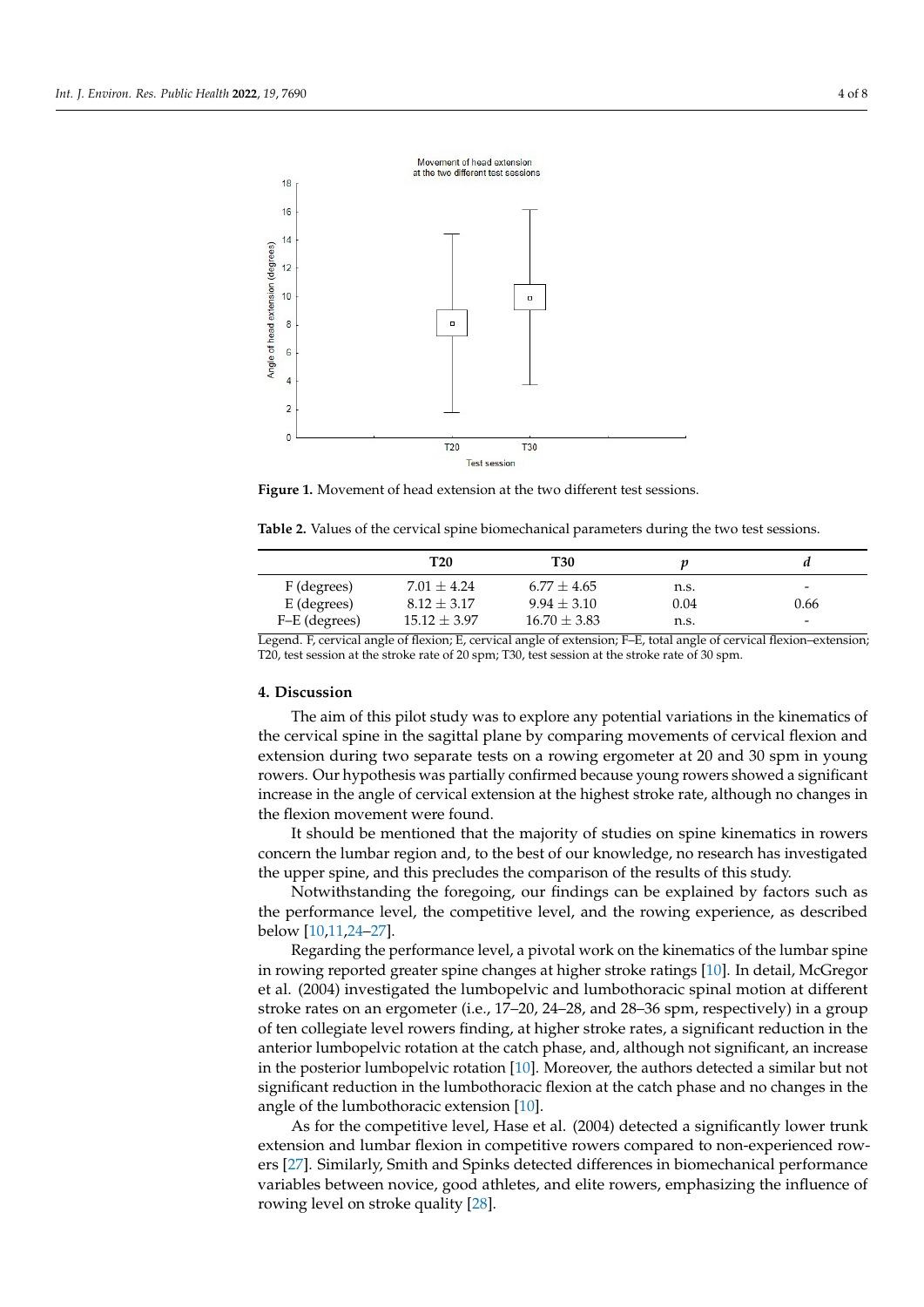<span id="page-3-0"></span>

**Figure 1.** Movement of head extension at the two different test sessions. **Figure 1.** Movement of head extension at the two different test sessions.

<span id="page-3-1"></span>**Table 2.** Values of the cervical spine biomechanical parameters during the two test sessions. **Table 2.** Values of the cervical spine biomechanical parameters during the two test sessions.

|               | T20            | T30                                                                                                                   |      |      |
|---------------|----------------|-----------------------------------------------------------------------------------------------------------------------|------|------|
| F (degrees)   | $7.01 + 4.24$  | $6.77 + 4.65$                                                                                                         | n.s. | -    |
| E (degrees)   | $8.12 + 3.17$  | $9.94 + 3.10$                                                                                                         | 0.04 | 0.66 |
| F-E (degrees) | $15.12 + 3.97$ | $16.70 \pm 3.83$                                                                                                      | n.s. | -    |
|               |                | Legend. F, cervical angle of flexion; E, cervical angle of extension; F-E, total angle of cervical flexion-extension; |      |      |

Legend. F, cervical angle of flexion; E, cervical angle of extension; F–E, total angle of cervical flexion– T20, test session at the stroke rate of 20 spm; T30, test session at the stroke rate of 30 spm. extension; T20, test session at the stroke rate of 20 spm; T30, test session at the stroke rate of 30 spm.

#### **4. Discussion**

**4. Discussion** The aim of this pilot study was to explore any potential variations in the kinematics of the cervical spine in the sagittal plane by comparing movements of cervical flexion and extension during two separate tests on a rowing ergometer at 20 and 30 spm in young rowers. Our hypothesis was partially confirmed because young rowers showed a significant increase in the angle of cervical extension at the highest stroke rate, although no changes in the flexion movement were found.

It should be mentioned that the majority of studies on spine kinematics in rowers concern the lumbar region and, to the best of our knowledge, no research has investigated the upper spine, and this precludes the comparison of the results of this study.

Notwithstanding the foregoing, our findings can be explained by factors such as the performance level, the competitive level, and the rowing experience, as described  $below [10, 11, 24-27].$ 

Regarding the performance level, a pivotal work on the kinematics of the lumbar spine in rowing reported greater sp[ine](#page-6-7) changes at higher stroke ratings [10]. In detail, McGregor et al. (2004) investigated the lumbopelvic and lumbothoracic spinal motion at different stroke rates on an ergometer (i.e., 17–20, 24–28, and 28–36 spm, respectively) in a group of ten collegiate level rowers finding, at higher stroke rates, a significant reduction in the anterior lumbopelvic rotation at the catch phase, and, although not significant, an increase in the posterior lumbopelvic rotation [\[10\]](#page-6-7). Moreover, the authors detected a similar but not significant reduction in the lumbothoracic flexion at the catch phase and no changes in the angle of the lumbothoracic extension [\[10\]](#page-6-7).

As for the competitive level, Hase et al. (2004) detected a significantly lower trunk extension and lumbar flexion in competitive rowers compared to non-experienced row-ers [\[27\]](#page-6-19). Similarly, Smith and Spinks detected differences in biomechanical performance variables between novice, good athletes, and elite rowers, emphasizing the influence of rowing level on stroke quality [\[28\]](#page-7-0).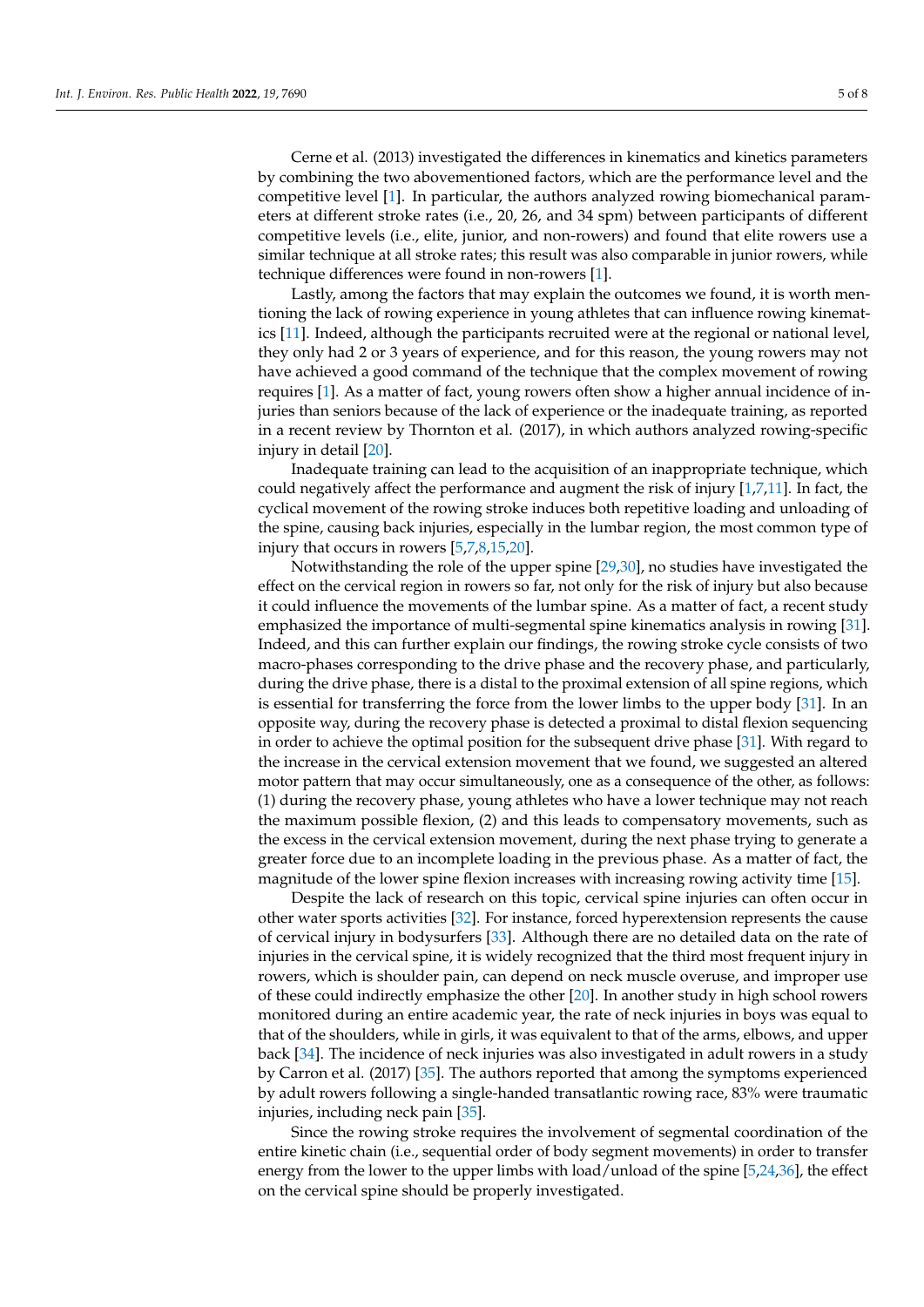Cerne et al. (2013) investigated the differences in kinematics and kinetics parameters by combining the two abovementioned factors, which are the performance level and the competitive level [\[1\]](#page-6-0). In particular, the authors analyzed rowing biomechanical parameters at different stroke rates (i.e., 20, 26, and 34 spm) between participants of different competitive levels (i.e., elite, junior, and non-rowers) and found that elite rowers use a similar technique at all stroke rates; this result was also comparable in junior rowers, while technique differences were found in non-rowers [\[1\]](#page-6-0).

Lastly, among the factors that may explain the outcomes we found, it is worth mentioning the lack of rowing experience in young athletes that can influence rowing kinematics [\[11\]](#page-6-8). Indeed, although the participants recruited were at the regional or national level, they only had 2 or 3 years of experience, and for this reason, the young rowers may not have achieved a good command of the technique that the complex movement of rowing requires [\[1\]](#page-6-0). As a matter of fact, young rowers often show a higher annual incidence of injuries than seniors because of the lack of experience or the inadequate training, as reported in a recent review by Thornton et al. (2017), in which authors analyzed rowing-specific injury in detail [\[20\]](#page-6-14).

Inadequate training can lead to the acquisition of an inappropriate technique, which could negatively affect the performance and augment the risk of injury  $[1,7,11]$  $[1,7,11]$  $[1,7,11]$ . In fact, the cyclical movement of the rowing stroke induces both repetitive loading and unloading of the spine, causing back injuries, especially in the lumbar region, the most common type of injury that occurs in rowers [\[5,](#page-6-2)[7](#page-6-4)[,8](#page-6-5)[,15](#page-6-20)[,20\]](#page-6-14).

Notwithstanding the role of the upper spine [\[29,](#page-7-1)[30\]](#page-7-2), no studies have investigated the effect on the cervical region in rowers so far, not only for the risk of injury but also because it could influence the movements of the lumbar spine. As a matter of fact, a recent study emphasized the importance of multi-segmental spine kinematics analysis in rowing [\[31\]](#page-7-3). Indeed, and this can further explain our findings, the rowing stroke cycle consists of two macro-phases corresponding to the drive phase and the recovery phase, and particularly, during the drive phase, there is a distal to the proximal extension of all spine regions, which is essential for transferring the force from the lower limbs to the upper body [\[31\]](#page-7-3). In an opposite way, during the recovery phase is detected a proximal to distal flexion sequencing in order to achieve the optimal position for the subsequent drive phase [\[31\]](#page-7-3). With regard to the increase in the cervical extension movement that we found, we suggested an altered motor pattern that may occur simultaneously, one as a consequence of the other, as follows: (1) during the recovery phase, young athletes who have a lower technique may not reach the maximum possible flexion, (2) and this leads to compensatory movements, such as the excess in the cervical extension movement, during the next phase trying to generate a greater force due to an incomplete loading in the previous phase. As a matter of fact, the magnitude of the lower spine flexion increases with increasing rowing activity time [\[15\]](#page-6-20).

Despite the lack of research on this topic, cervical spine injuries can often occur in other water sports activities [\[32\]](#page-7-4). For instance, forced hyperextension represents the cause of cervical injury in bodysurfers [\[33\]](#page-7-5). Although there are no detailed data on the rate of injuries in the cervical spine, it is widely recognized that the third most frequent injury in rowers, which is shoulder pain, can depend on neck muscle overuse, and improper use of these could indirectly emphasize the other [\[20\]](#page-6-14). In another study in high school rowers monitored during an entire academic year, the rate of neck injuries in boys was equal to that of the shoulders, while in girls, it was equivalent to that of the arms, elbows, and upper back [\[34\]](#page-7-6). The incidence of neck injuries was also investigated in adult rowers in a study by Carron et al. (2017) [\[35\]](#page-7-7). The authors reported that among the symptoms experienced by adult rowers following a single-handed transatlantic rowing race, 83% were traumatic injuries, including neck pain [\[35\]](#page-7-7).

Since the rowing stroke requires the involvement of segmental coordination of the entire kinetic chain (i.e., sequential order of body segment movements) in order to transfer energy from the lower to the upper limbs with load/unload of the spine [\[5,](#page-6-2)[24,](#page-6-18)[36\]](#page-7-8), the effect on the cervical spine should be properly investigated.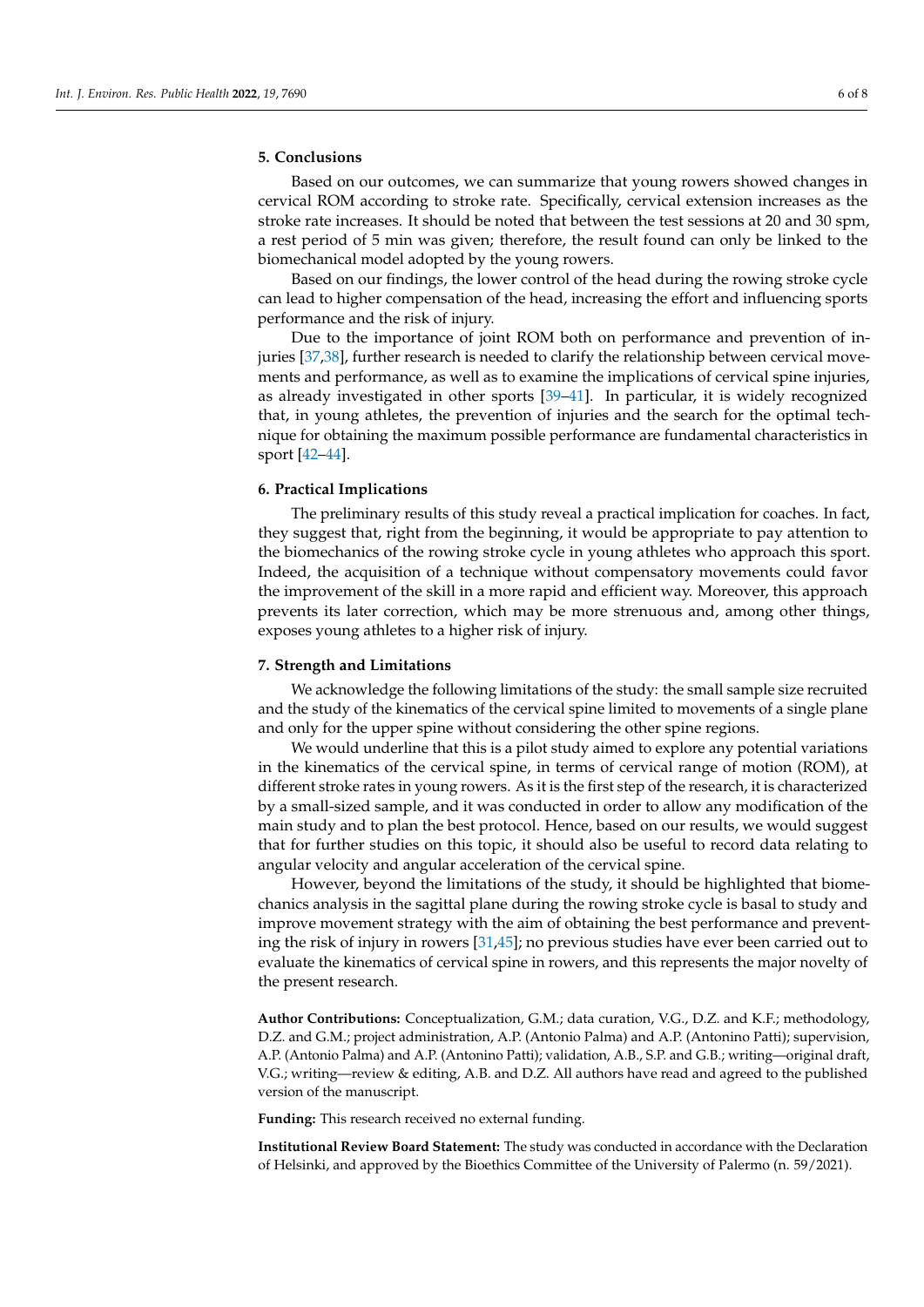## **5. Conclusions**

Based on our outcomes, we can summarize that young rowers showed changes in cervical ROM according to stroke rate. Specifically, cervical extension increases as the stroke rate increases. It should be noted that between the test sessions at 20 and 30 spm, a rest period of 5 min was given; therefore, the result found can only be linked to the biomechanical model adopted by the young rowers.

Based on our findings, the lower control of the head during the rowing stroke cycle can lead to higher compensation of the head, increasing the effort and influencing sports performance and the risk of injury.

Due to the importance of joint ROM both on performance and prevention of injuries [\[37](#page-7-9)[,38\]](#page-7-10), further research is needed to clarify the relationship between cervical movements and performance, as well as to examine the implications of cervical spine injuries, as already investigated in other sports [\[39–](#page-7-11)[41\]](#page-7-12). In particular, it is widely recognized that, in young athletes, the prevention of injuries and the search for the optimal technique for obtaining the maximum possible performance are fundamental characteristics in sport [\[42–](#page-7-13)[44\]](#page-7-14).

#### **6. Practical Implications**

The preliminary results of this study reveal a practical implication for coaches. In fact, they suggest that, right from the beginning, it would be appropriate to pay attention to the biomechanics of the rowing stroke cycle in young athletes who approach this sport. Indeed, the acquisition of a technique without compensatory movements could favor the improvement of the skill in a more rapid and efficient way. Moreover, this approach prevents its later correction, which may be more strenuous and, among other things, exposes young athletes to a higher risk of injury.

#### **7. Strength and Limitations**

We acknowledge the following limitations of the study: the small sample size recruited and the study of the kinematics of the cervical spine limited to movements of a single plane and only for the upper spine without considering the other spine regions.

We would underline that this is a pilot study aimed to explore any potential variations in the kinematics of the cervical spine, in terms of cervical range of motion (ROM), at different stroke rates in young rowers. As it is the first step of the research, it is characterized by a small-sized sample, and it was conducted in order to allow any modification of the main study and to plan the best protocol. Hence, based on our results, we would suggest that for further studies on this topic, it should also be useful to record data relating to angular velocity and angular acceleration of the cervical spine.

However, beyond the limitations of the study, it should be highlighted that biomechanics analysis in the sagittal plane during the rowing stroke cycle is basal to study and improve movement strategy with the aim of obtaining the best performance and preventing the risk of injury in rowers [\[31,](#page-7-3)[45\]](#page-7-15); no previous studies have ever been carried out to evaluate the kinematics of cervical spine in rowers, and this represents the major novelty of the present research.

**Author Contributions:** Conceptualization, G.M.; data curation, V.G., D.Z. and K.F.; methodology, D.Z. and G.M.; project administration, A.P. (Antonio Palma) and A.P. (Antonino Patti); supervision, A.P. (Antonio Palma) and A.P. (Antonino Patti); validation, A.B., S.P. and G.B.; writing—original draft, V.G.; writing—review & editing, A.B. and D.Z. All authors have read and agreed to the published version of the manuscript.

**Funding:** This research received no external funding.

**Institutional Review Board Statement:** The study was conducted in accordance with the Declaration of Helsinki, and approved by the Bioethics Committee of the University of Palermo (n. 59/2021).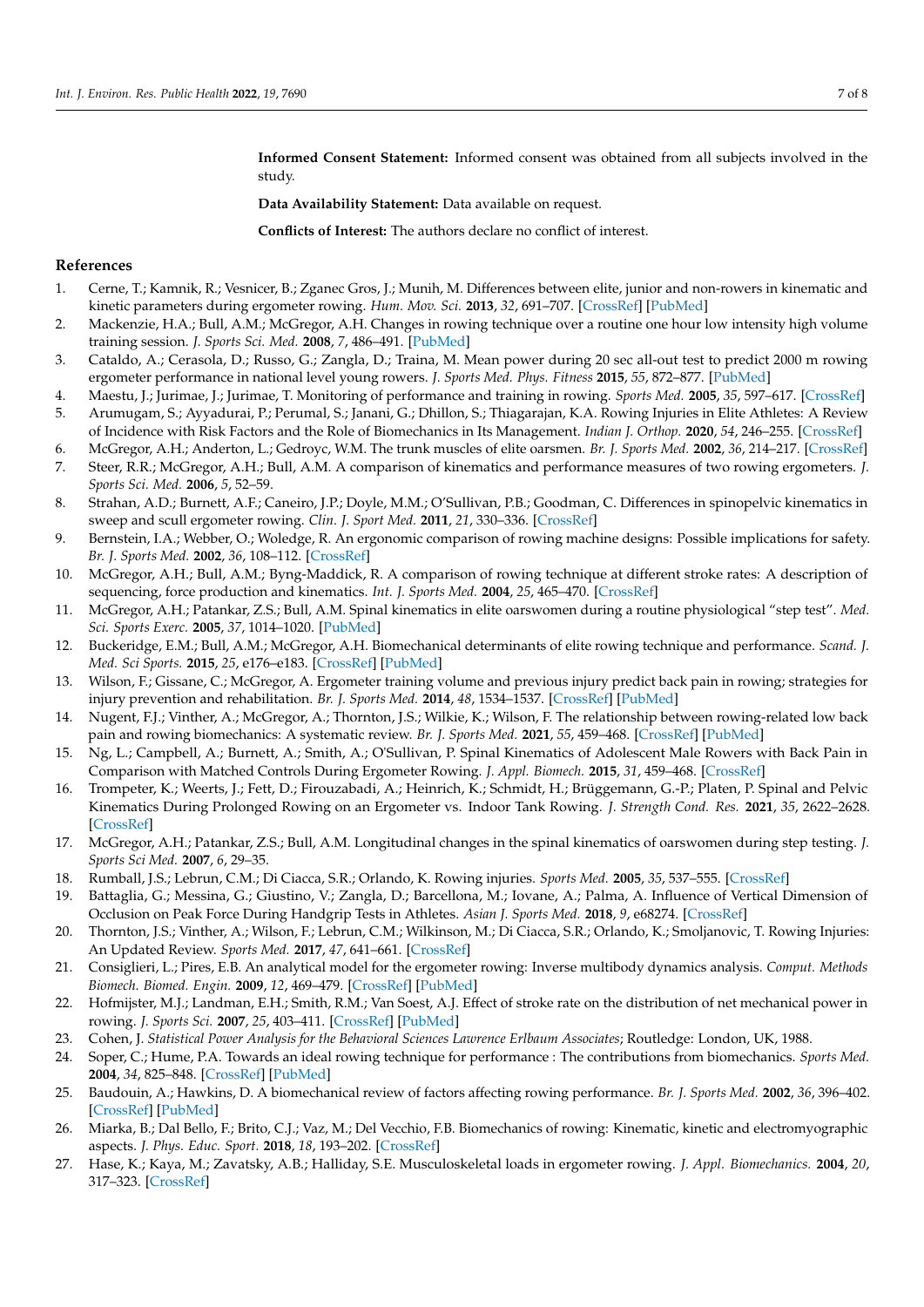**Informed Consent Statement:** Informed consent was obtained from all subjects involved in the study.

**Data Availability Statement:** Data available on request.

**Conflicts of Interest:** The authors declare no conflict of interest.

#### **References**

- <span id="page-6-0"></span>1. Cerne, T.; Kamnik, R.; Vesnicer, B.; Zganec Gros, J.; Munih, M. Differences between elite, junior and non-rowers in kinematic and kinetic parameters during ergometer rowing. *Hum. Mov. Sci.* **2013**, *32*, 691–707. [\[CrossRef\]](http://doi.org/10.1016/j.humov.2012.11.006) [\[PubMed\]](http://www.ncbi.nlm.nih.gov/pubmed/23756001)
- 2. Mackenzie, H.A.; Bull, A.M.; McGregor, A.H. Changes in rowing technique over a routine one hour low intensity high volume training session. *J. Sports Sci. Med.* **2008**, *7*, 486–491. [\[PubMed\]](http://www.ncbi.nlm.nih.gov/pubmed/24149955)
- 3. Cataldo, A.; Cerasola, D.; Russo, G.; Zangla, D.; Traina, M. Mean power during 20 sec all-out test to predict 2000 m rowing ergometer performance in national level young rowers. *J. Sports Med. Phys. Fitness* **2015**, *55*, 872–877. [\[PubMed\]](http://www.ncbi.nlm.nih.gov/pubmed/24921619)
- <span id="page-6-1"></span>4. Maestu, J.; Jurimae, J.; Jurimae, T. Monitoring of performance and training in rowing. *Sports Med.* **2005**, *35*, 597–617. [\[CrossRef\]](http://doi.org/10.2165/00007256-200535070-00005)
- <span id="page-6-2"></span>5. Arumugam, S.; Ayyadurai, P.; Perumal, S.; Janani, G.; Dhillon, S.; Thiagarajan, K.A. Rowing Injuries in Elite Athletes: A Review of Incidence with Risk Factors and the Role of Biomechanics in Its Management. *Indian J. Orthop.* **2020**, *54*, 246–255. [\[CrossRef\]](http://doi.org/10.1007/s43465-020-00044-3)
- <span id="page-6-4"></span><span id="page-6-3"></span>6. McGregor, A.H.; Anderton, L.; Gedroyc, W.M. The trunk muscles of elite oarsmen. *Br. J. Sports Med.* **2002**, *36*, 214–217. [\[CrossRef\]](http://doi.org/10.1136/bjsm.36.3.214) 7. Steer, R.R.; McGregor, A.H.; Bull, A.M. A comparison of kinematics and performance measures of two rowing ergometers. *J. Sports Sci. Med.* **2006**, *5*, 52–59.
- <span id="page-6-5"></span>8. Strahan, A.D.; Burnett, A.F.; Caneiro, J.P.; Doyle, M.M.; O'Sullivan, P.B.; Goodman, C. Differences in spinopelvic kinematics in sweep and scull ergometer rowing. *Clin. J. Sport Med.* **2011**, *21*, 330–336. [\[CrossRef\]](http://doi.org/10.1097/JSM.0b013e31821a6465)
- <span id="page-6-6"></span>9. Bernstein, I.A.; Webber, O.; Woledge, R. An ergonomic comparison of rowing machine designs: Possible implications for safety. *Br. J. Sports Med.* **2002**, *36*, 108–112. [\[CrossRef\]](http://doi.org/10.1136/bjsm.36.2.108)
- <span id="page-6-7"></span>10. McGregor, A.H.; Bull, A.M.; Byng-Maddick, R. A comparison of rowing technique at different stroke rates: A description of sequencing, force production and kinematics. *Int. J. Sports Med.* **2004**, *25*, 465–470. [\[CrossRef\]](http://doi.org/10.1055/s-2004-820936)
- <span id="page-6-8"></span>11. McGregor, A.H.; Patankar, Z.S.; Bull, A.M. Spinal kinematics in elite oarswomen during a routine physiological "step test". *Med. Sci. Sports Exerc.* **2005**, *37*, 1014–1020. [\[PubMed\]](http://www.ncbi.nlm.nih.gov/pubmed/15947728)
- <span id="page-6-9"></span>12. Buckeridge, E.M.; Bull, A.M.; McGregor, A.H. Biomechanical determinants of elite rowing technique and performance. *Scand. J. Med. Sci Sports.* **2015**, *25*, e176–e183. [\[CrossRef\]](http://doi.org/10.1111/sms.12264) [\[PubMed\]](http://www.ncbi.nlm.nih.gov/pubmed/25039605)
- <span id="page-6-10"></span>13. Wilson, F.; Gissane, C.; McGregor, A. Ergometer training volume and previous injury predict back pain in rowing; strategies for injury prevention and rehabilitation. *Br. J. Sports Med.* **2014**, *48*, 1534–1537. [\[CrossRef\]](http://doi.org/10.1136/bjsports-2014-093968) [\[PubMed\]](http://www.ncbi.nlm.nih.gov/pubmed/25257230)
- 14. Nugent, F.J.; Vinther, A.; McGregor, A.; Thornton, J.S.; Wilkie, K.; Wilson, F. The relationship between rowing-related low back pain and rowing biomechanics: A systematic review. *Br. J. Sports Med.* **2021**, *55*, 459–468. [\[CrossRef\]](http://doi.org/10.1136/bjsports-2020-102533) [\[PubMed\]](http://www.ncbi.nlm.nih.gov/pubmed/33397675)
- <span id="page-6-20"></span>15. Ng, L.; Campbell, A.; Burnett, A.; Smith, A.; O'Sullivan, P. Spinal Kinematics of Adolescent Male Rowers with Back Pain in Comparison with Matched Controls During Ergometer Rowing. *J. Appl. Biomech.* **2015**, *31*, 459–468. [\[CrossRef\]](http://doi.org/10.1123/jab.2015-0012)
- 16. Trompeter, K.; Weerts, J.; Fett, D.; Firouzabadi, A.; Heinrich, K.; Schmidt, H.; Brüggemann, G.-P.; Platen, P. Spinal and Pelvic Kinematics During Prolonged Rowing on an Ergometer vs. Indoor Tank Rowing. *J. Strength Cond. Res.* **2021**, *35*, 2622–2628. [\[CrossRef\]](http://doi.org/10.1519/JSC.0000000000003187)
- <span id="page-6-11"></span>17. McGregor, A.H.; Patankar, Z.S.; Bull, A.M. Longitudinal changes in the spinal kinematics of oarswomen during step testing. *J. Sports Sci Med.* **2007**, *6*, 29–35.
- <span id="page-6-12"></span>18. Rumball, J.S.; Lebrun, C.M.; Di Ciacca, S.R.; Orlando, K. Rowing injuries. *Sports Med.* **2005**, *35*, 537–555. [\[CrossRef\]](http://doi.org/10.2165/00007256-200535060-00005)
- <span id="page-6-13"></span>19. Battaglia, G.; Messina, G.; Giustino, V.; Zangla, D.; Barcellona, M.; Iovane, A.; Palma, A. Influence of Vertical Dimension of Occlusion on Peak Force During Handgrip Tests in Athletes. *Asian J. Sports Med.* **2018**, *9*, e68274. [\[CrossRef\]](http://doi.org/10.5812/asjsm.68274)
- <span id="page-6-14"></span>20. Thornton, J.S.; Vinther, A.; Wilson, F.; Lebrun, C.M.; Wilkinson, M.; Di Ciacca, S.R.; Orlando, K.; Smoljanovic, T. Rowing Injuries: An Updated Review. *Sports Med.* **2017**, *47*, 641–661. [\[CrossRef\]](http://doi.org/10.1007/s40279-016-0613-y)
- <span id="page-6-15"></span>21. Consiglieri, L.; Pires, E.B. An analytical model for the ergometer rowing: Inverse multibody dynamics analysis. *Comput. Methods Biomech. Biomed. Engin.* **2009**, *12*, 469–479. [\[CrossRef\]](http://doi.org/10.1080/10255840802687400) [\[PubMed\]](http://www.ncbi.nlm.nih.gov/pubmed/19308869)
- <span id="page-6-16"></span>22. Hofmijster, M.J.; Landman, E.H.; Smith, R.M.; Van Soest, A.J. Effect of stroke rate on the distribution of net mechanical power in rowing. *J. Sports Sci.* **2007**, *25*, 403–411. [\[CrossRef\]](http://doi.org/10.1080/02640410600718046) [\[PubMed\]](http://www.ncbi.nlm.nih.gov/pubmed/17365527)
- <span id="page-6-17"></span>23. Cohen, J. *Statistical Power Analysis for the Behavioral Sciences Lawrence Erlbaum Associates*; Routledge: London, UK, 1988.
- <span id="page-6-18"></span>24. Soper, C.; Hume, P.A. Towards an ideal rowing technique for performance : The contributions from biomechanics. *Sports Med.* **2004**, *34*, 825–848. [\[CrossRef\]](http://doi.org/10.2165/00007256-200434120-00003) [\[PubMed\]](http://www.ncbi.nlm.nih.gov/pubmed/15462614)
- 25. Baudouin, A.; Hawkins, D. A biomechanical review of factors affecting rowing performance. *Br. J. Sports Med.* **2002**, *36*, 396–402. [\[CrossRef\]](http://doi.org/10.1136/bjsm.36.6.396) [\[PubMed\]](http://www.ncbi.nlm.nih.gov/pubmed/12453833)
- 26. Miarka, B.; Dal Bello, F.; Brito, C.J.; Vaz, M.; Del Vecchio, F.B. Biomechanics of rowing: Kinematic, kinetic and electromyographic aspects. *J. Phys. Educ. Sport.* **2018**, *18*, 193–202. [\[CrossRef\]](http://doi.org/10.7752/jpes.2018.01025)
- <span id="page-6-19"></span>27. Hase, K.; Kaya, M.; Zavatsky, A.B.; Halliday, S.E. Musculoskeletal loads in ergometer rowing. *J. Appl. Biomechanics.* **2004**, *20*, 317–323. [\[CrossRef\]](http://doi.org/10.1123/jab.20.3.317)